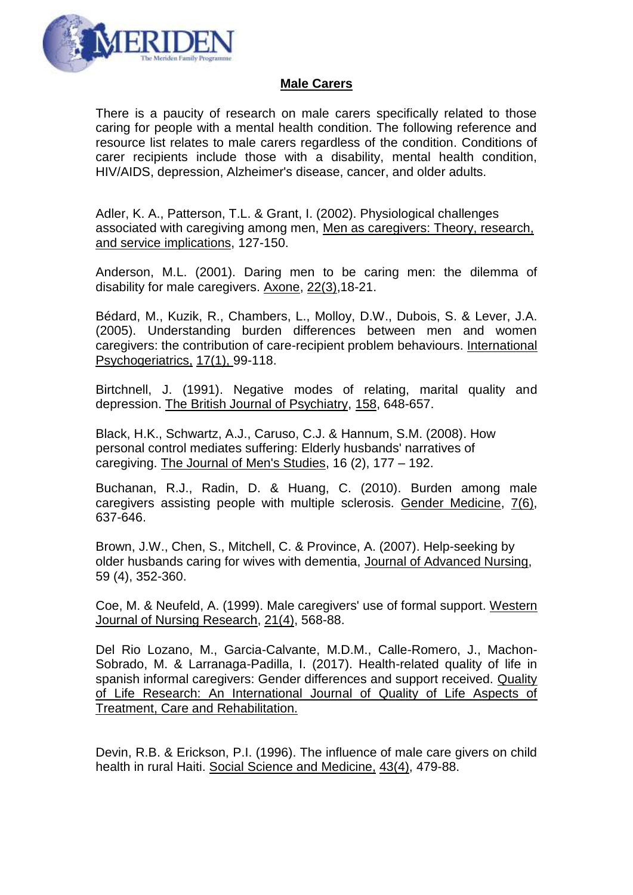

## **Male Carers**

There is a paucity of research on male carers specifically related to those caring for people with a mental health condition. The following reference and resource list relates to male carers regardless of the condition. Conditions of carer recipients include those with a disability, mental health condition, HIV/AIDS, depression, Alzheimer's disease, cancer, and older adults.

Adler, K. A., Patterson, T.L. & Grant, I. (2002). Physiological challenges associated with caregiving among men, Men as caregivers: Theory, research, and service implications, 127-150.

Anderson, M.L. (2001). Daring men to be caring men: the dilemma of disability for male caregivers. Axone, 22(3),18-21.

Bédard, M., Kuzik, R., Chambers, L., Molloy, D.W., Dubois, S. & Lever, J.A. (2005). Understanding burden differences between men and women caregivers: the contribution of care-recipient problem behaviours. International Psychogeriatrics, 17(1), 99-118.

Birtchnell, J. (1991). Negative modes of relating, marital quality and depression. The British Journal of Psychiatry, 158, 648-657.

Black, H.K., Schwartz, A.J., Caruso, C.J. & Hannum, S.M. (2008). [How](http://www.library.nhs.uk/hdas/resultdetail?ShowAbstracts=False&Database=bnj.ovi.psyh&Id=ovid.com%3A%2Fbib%2Fpsycdb%2F2008-08011-004&Search=10&PageNumber=5&PageSize=50&Index=207&SearchStrategyDisplay=1%20AND%204&SortBy=srt.unspecified&SimpleSearch=False&Clipboard=False&databases=bnj.ovi.psyh)  [personal control mediates suffering: Elderly husbands' narratives of](http://www.library.nhs.uk/hdas/resultdetail?ShowAbstracts=False&Database=bnj.ovi.psyh&Id=ovid.com%3A%2Fbib%2Fpsycdb%2F2008-08011-004&Search=10&PageNumber=5&PageSize=50&Index=207&SearchStrategyDisplay=1%20AND%204&SortBy=srt.unspecified&SimpleSearch=False&Clipboard=False&databases=bnj.ovi.psyh)  [caregiving.](http://www.library.nhs.uk/hdas/resultdetail?ShowAbstracts=False&Database=bnj.ovi.psyh&Id=ovid.com%3A%2Fbib%2Fpsycdb%2F2008-08011-004&Search=10&PageNumber=5&PageSize=50&Index=207&SearchStrategyDisplay=1%20AND%204&SortBy=srt.unspecified&SimpleSearch=False&Clipboard=False&databases=bnj.ovi.psyh) The Journal of Men's Studies, 16 (2), 177 – 192.

Buchanan, R.J., Radin, D. & Huang, C. (2010). Burden among male caregivers assisting people with multiple sclerosis. Gender Medicine, 7(6), 637-646.

Brown, J.W., Chen, S., Mitchell, C. & Province, A. (2007). Help-seeking by older husbands caring for wives with dementia, Journal of Advanced Nursing, 59 (4), 352-360.

Coe, M. & Neufeld, A. (1999). Male caregivers' use of formal support. Western Journal of Nursing Research, 21(4), 568-88.

Del Rio Lozano, M., Garcia-Calvante, M.D.M., Calle-Romero, J., Machon-Sobrado, M. & Larranaga-Padilla, I. (2017). Health-related quality of life in spanish informal caregivers: Gender differences and support received. Quality of Life Research: An International Journal of Quality of Life Aspects of Treatment, Care and Rehabilitation.

Devin, R.B. & Erickson, P.I. (1996). The influence of male care givers on child health in rural Haiti. Social Science and Medicine, 43(4), 479-88.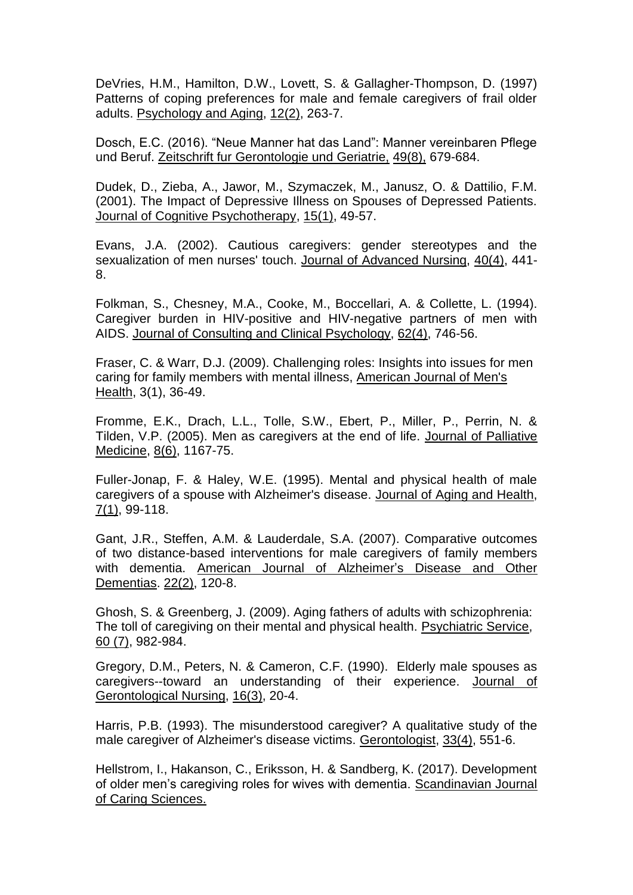DeVries, H.M., Hamilton, D.W., Lovett, S. & Gallagher-Thompson, D. (1997) Patterns of coping preferences for male and female caregivers of frail older adults. Psychology and Aging, 12(2), 263-7.

Dosch, E.C. (2016). "Neue Manner hat das Land": Manner vereinbaren Pflege und Beruf. Zeitschrift fur Gerontologie und Geriatrie, 49(8), 679-684.

Dudek, D., Zieba, A., Jawor, M., Szymaczek, M., Janusz, O. & Dattilio, F.M. (2001). The Impact of Depressive Illness on Spouses of Depressed Patients. Journal of Cognitive Psychotherapy, 15(1), 49-57.

Evans, J.A. (2002). Cautious caregivers: gender stereotypes and the sexualization of men nurses' touch. Journal of Advanced Nursing, 40(4), 441-8.

Folkman, S., Chesney, M.A., Cooke, M., Boccellari, A. & Collette, L. (1994). Caregiver burden in HIV-positive and HIV-negative partners of men with AIDS. Journal of Consulting and Clinical Psychology, 62(4), 746-56.

Fraser, C. & Warr, D.J. (2009). Challenging roles: Insights into issues for men caring for family members with mental illness, American Journal of Men's Health, 3(1), 36-49.

Fromme, E.K., Drach, L.L., Tolle, S.W., Ebert, P., Miller, P., Perrin, N. & Tilden, V.P. (2005). Men as caregivers at the end of life. Journal of Palliative Medicine, 8(6), 1167-75.

Fuller-Jonap, F. & Haley, W.E. (1995). Mental and physical health of male caregivers of a spouse with Alzheimer's disease. Journal of Aging and Health, 7(1), 99-118.

Gant, J.R., Steffen, A.M. & Lauderdale, S.A. (2007). Comparative outcomes of two distance-based interventions for male caregivers of family members with dementia. American Journal of Alzheimer's Disease and Other Dementias. 22(2), 120-8.

Ghosh, S. & Greenberg, J. (2009). Aging fathers of adults with schizophrenia: The toll of caregiving on their mental and physical health. Psychiatric Service, 60 (7), 982-984.

Gregory, D.M., Peters, N. & Cameron, C.F. (1990). Elderly male spouses as caregivers--toward an understanding of their experience. Journal of Gerontological Nursing, 16(3), 20-4.

Harris, P.B. (1993). The misunderstood caregiver? A qualitative study of the male caregiver of Alzheimer's disease victims. Gerontologist, 33(4), 551-6.

Hellstrom, I., Hakanson, C., Eriksson, H. & Sandberg, K. (2017). Development of older men's caregiving roles for wives with dementia. Scandinavian Journal of Caring Sciences.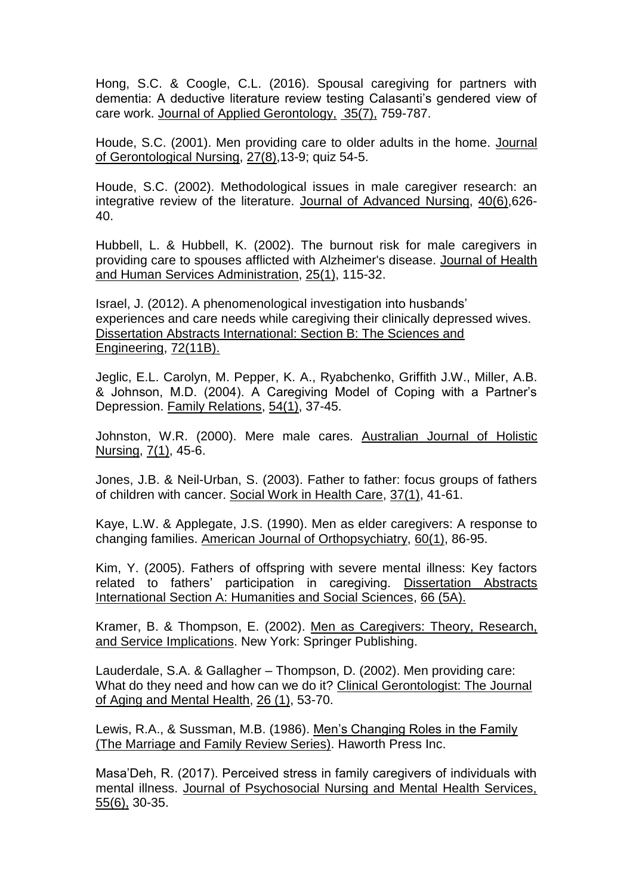Hong, S.C. & Coogle, C.L. (2016). Spousal caregiving for partners with dementia: A deductive literature review testing Calasanti's gendered view of care work. Journal of Applied Gerontology, 35(7), 759-787.

Houde, S.C. (2001). Men providing care to older adults in the home. Journal of Gerontological Nursing, 27(8),13-9; quiz 54-5.

Houde, S.C. (2002). Methodological issues in male caregiver research: an integrative review of the literature. Journal of Advanced Nursing, 40(6),626- 40.

Hubbell, L. & Hubbell, K. (2002). The burnout risk for male caregivers in providing care to spouses afflicted with Alzheimer's disease. Journal of Health and Human Services Administration, 25(1), 115-32.

Israel, J. (2012). A phenomenological investigation into husbands' experiences and care needs while caregiving their clinically depressed wives. Dissertation Abstracts International: Section B: The Sciences and Engineering, 72(11B).

Jeglic, E.L. Carolyn, M. Pepper, K. A., Ryabchenko, Griffith J.W., Miller, A.B. & Johnson, M.D. (2004). A Caregiving Model of Coping with a Partner's Depression. Family Relations, 54(1), 37-45.

Johnston, W.R. (2000). Mere male cares. Australian Journal of Holistic Nursing, 7(1), 45-6.

Jones, J.B. & Neil-Urban, S. (2003). Father to father: focus groups of fathers of children with cancer. Social Work in Health Care, 37(1), 41-61.

Kaye, L.W. & Applegate, J.S. (1990). Men as elder caregivers: A response to changing families. American Journal of Orthopsychiatry, 60(1), 86-95.

Kim, Y. (2005). Fathers of offspring with severe mental illness: Key factors related to fathers' participation in caregiving. Dissertation Abstracts International Section A: Humanities and Social Sciences, 66 (5A).

Kramer, B. & Thompson, E. (2002). Men as Caregivers: Theory, Research, and Service Implications. New York: Springer Publishing.

Lauderdale, S.A. & Gallagher – Thompson, D. (2002). Men providing care: What do they need and how can we do it? Clinical Gerontologist: The Journal of Aging and Mental Health, 26 (1), 53-70.

Lewis, R.A., & Sussman, M.B. (1986). Men's Changing Roles in the Family (The Marriage and Family Review Series). Haworth Press Inc.

Masa'Deh, R. (2017). Perceived stress in family caregivers of individuals with mental illness. Journal of Psychosocial Nursing and Mental Health Services, 55(6), 30-35.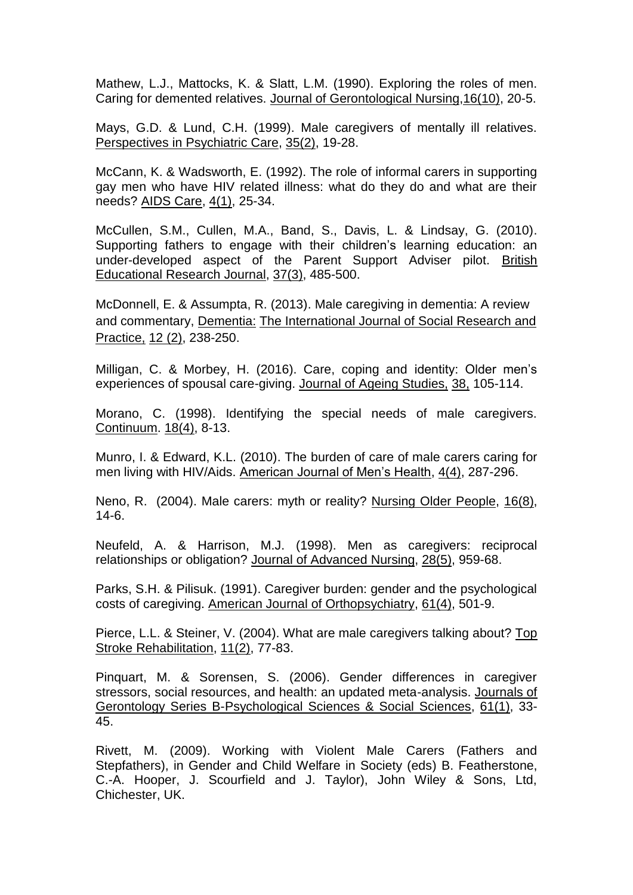Mathew, L.J., Mattocks, K. & Slatt, L.M. (1990). Exploring the roles of men. Caring for demented relatives. Journal of Gerontological Nursing,16(10), 20-5.

Mays, G.D. & Lund, C.H. (1999). Male caregivers of mentally ill relatives. Perspectives in Psychiatric Care, 35(2), 19-28.

McCann, K. & Wadsworth, E. (1992). The role of informal carers in supporting gay men who have HIV related illness: what do they do and what are their needs? AIDS Care, 4(1), 25-34.

McCullen, S.M., Cullen, M.A., Band, S., Davis, L. & Lindsay, G. (2010). Supporting fathers to engage with their children's learning education: an under-developed aspect of the Parent Support Adviser pilot. British Educational Research Journal, 37(3), 485-500.

McDonnell, E. & Assumpta, R. (2013). Male caregiving in dementia: A review and commentary, Dementia: The International Journal of Social Research and Practice, 12 (2), 238-250.

Milligan, C. & Morbey, H. (2016). Care, coping and identity: Older men's experiences of spousal care-giving. Journal of Ageing Studies, 38, 105-114.

Morano, C. (1998). Identifying the special needs of male caregivers. Continuum. 18(4), 8-13.

Munro, I. & Edward, K.L. (2010). The burden of care of male carers caring for men living with HIV/Aids. American Journal of Men's Health, 4(4), 287-296.

Neno, R. (2004). Male carers: myth or reality? Nursing Older People, 16(8), 14-6.

Neufeld, A. & Harrison, M.J. (1998). Men as caregivers: reciprocal relationships or obligation? Journal of Advanced Nursing, 28(5), 959-68.

Parks, S.H. & Pilisuk. (1991). Caregiver burden: gender and the psychological costs of caregiving. American Journal of Orthopsychiatry, 61(4), 501-9.

Pierce, L.L. & Steiner, V. (2004). What are male caregivers talking about? Top Stroke Rehabilitation, 11(2), 77-83.

Pinquart, M. & Sorensen, S. (2006). Gender differences in caregiver stressors, social resources, and health: an updated meta-analysis. Journals of Gerontology Series B-Psychological Sciences & Social Sciences, 61(1), 33- 45.

Rivett, M. (2009). Working with Violent Male Carers (Fathers and Stepfathers), in Gender and Child Welfare in Society (eds) B. Featherstone, C.-A. Hooper, J. Scourfield and J. Taylor), John Wiley & Sons, Ltd, Chichester, UK.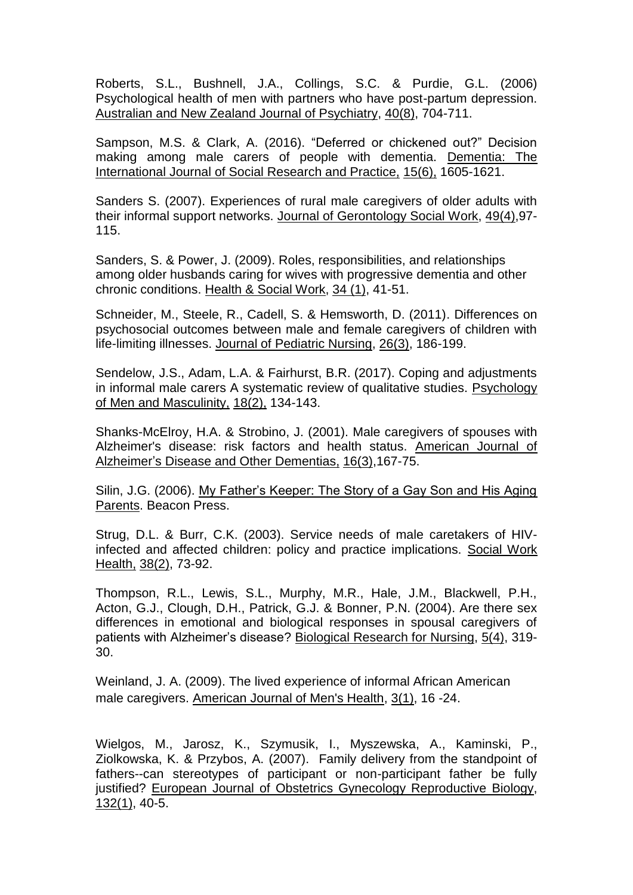Roberts, S.L., Bushnell, J.A., Collings, S.C. & Purdie, G.L. (2006) Psychological health of men with partners who have post-partum depression. Australian and New Zealand Journal of Psychiatry, 40(8), 704-711.

Sampson, M.S. & Clark, A. (2016). "Deferred or chickened out?" Decision making among male carers of people with dementia. Dementia: The International Journal of Social Research and Practice, 15(6), 1605-1621.

Sanders S. (2007). Experiences of rural male caregivers of older adults with their informal support networks. Journal of Gerontology Social Work, 49(4),97- 115.

Sanders, S. & Power, J. (2009). Roles, responsibilities, and relationships among older husbands caring for wives with progressive dementia and other chronic conditions. Health & Social Work, 34 (1), 41-51.

Schneider, M., Steele, R., Cadell, S. & Hemsworth, D. (2011). Differences on psychosocial outcomes between male and female caregivers of children with life-limiting illnesses. Journal of Pediatric Nursing, 26(3), 186-199.

Sendelow, J.S., Adam, L.A. & Fairhurst, B.R. (2017). Coping and adjustments in informal male carers A systematic review of qualitative studies. Psychology of Men and Masculinity, 18(2), 134-143.

Shanks-McElroy, H.A. & Strobino, J. (2001). Male caregivers of spouses with Alzheimer's disease: risk factors and health status. American Journal of Alzheimer's Disease and Other Dementias, 16(3),167-75.

Silin, J.G. (2006). My Father's Keeper: The Story of a Gay Son and His Aging Parents. Beacon Press.

Strug, D.L. & Burr, C.K. (2003). Service needs of male caretakers of HIVinfected and affected children: policy and practice implications. Social Work Health, 38(2), 73-92.

Thompson, R.L., Lewis, S.L., Murphy, M.R., Hale, J.M., Blackwell, P.H., Acton, G.J., Clough, D.H., Patrick, G.J. & Bonner, P.N. (2004). Are there sex differences in emotional and biological responses in spousal caregivers of patients with Alzheimer's disease? Biological Research for Nursing, 5(4), 319- 30.

Weinland, J. A. (2009). The lived experience of informal African American male caregivers. American Journal of Men's Health, 3(1), 16 -24.

Wielgos, M., Jarosz, K., Szymusik, I., Myszewska, A., Kaminski, P., Ziolkowska, K. & Przybos, A. (2007). Family delivery from the standpoint of fathers--can stereotypes of participant or non-participant father be fully justified? European Journal of Obstetrics Gynecology Reproductive Biology, 132(1), 40-5.